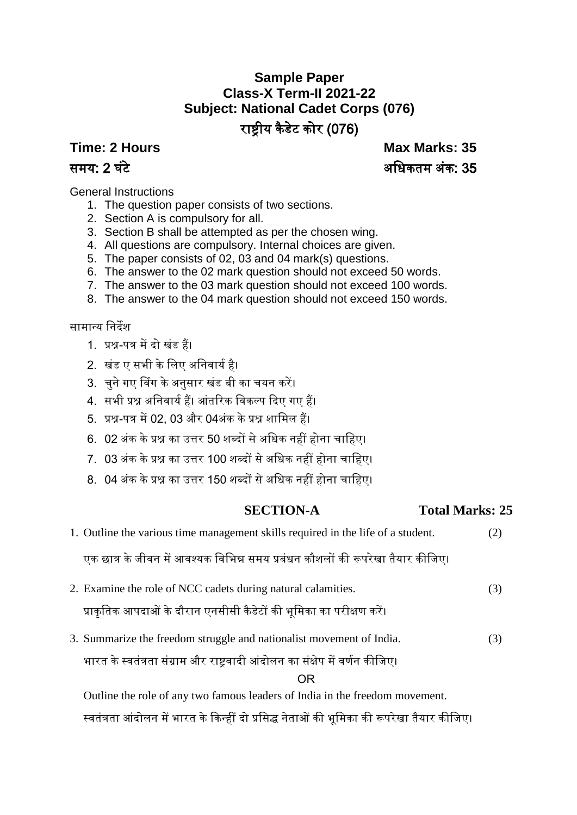# **Sample Paper Class-X Term-II 2021-22 Subject: National Cadet Corps (076)** राष्ट्रीय कैडेट कोर (076)

**Time: 2 Hours Max Marks: 35** समय: 2 घंटे अधिकतम अंक: 35

General Instructions

- 1. The question paper consists of two sections.
- 2. Section A is compulsory for all.
- 3. Section B shall be attempted as per the chosen wing.
- 4. All questions are compulsory. Internal choices are given.
- 5. The paper consists of 02, 03 and 04 mark(s) questions.
- 6. The answer to the 02 mark question should not exceed 50 words.
- 7. The answer to the 03 mark question should not exceed 100 words.
- 8. The answer to the 04 mark question should not exceed 150 words.

# सामान्य निर्देश

- 1. प्रश्न-पत्र मेंर्दो खंड हैं।
- 2. खंड ए सभी के लिए अनिवार्य है।
- 3. चुने गए विंग के अनुसार खंड बी का चयन करें।
- 4. सभी प्रश्न अधिवाययहैं। आंतररक धवकल्प दर्दए गए हैं।
- 5. प्रश्न-पत्र में02, 03 और 04अंक केप्रश्न शाधमि हैं।
- 6. 02 अंक के प्रश्न का उत्तर 50 शब्दों से अधिक नहीं होना चाहिए।
- 7. 03 अंक के प्रश्न का उत्तर 100 शब्दों से अधिक नहीं होना चाहिए।
- 8. 04 अंक के प्रश्न का उत्तर 150 शब्दों से अधिक नहीं होना चाहिए।

# **SECTION-A Total Marks: 25**

1. Outline the various time management skills required in the life of a student. (2)

एक छात्र के जीवन में आवश्यक विभिन्न समय प्रबंधन कौशलों की रूपरेखा तैयार कीजिए।

- 2. Examine the role of NCC cadets during natural calamities. (3) प्राकृतिक आपदाओं के दौरान एनसीसी कैडेटों की भूमिका का परीक्षण करें।
- 3. Summarize the freedom struggle and nationalist movement of India. (3)

भारत के स्वतंत्रता संग्राम और राष्ट्रवादी आंदोलन का संक्षेप में वर्णन कीजिए।

OR

Outline the role of any two famous leaders of India in the freedom movement.

स्वतंत्रता आंदोलन में भारत के किन्हीं दो प्रसिद्ध नेताओं की भूमिका की रूपरेखा तैयार कीजिए।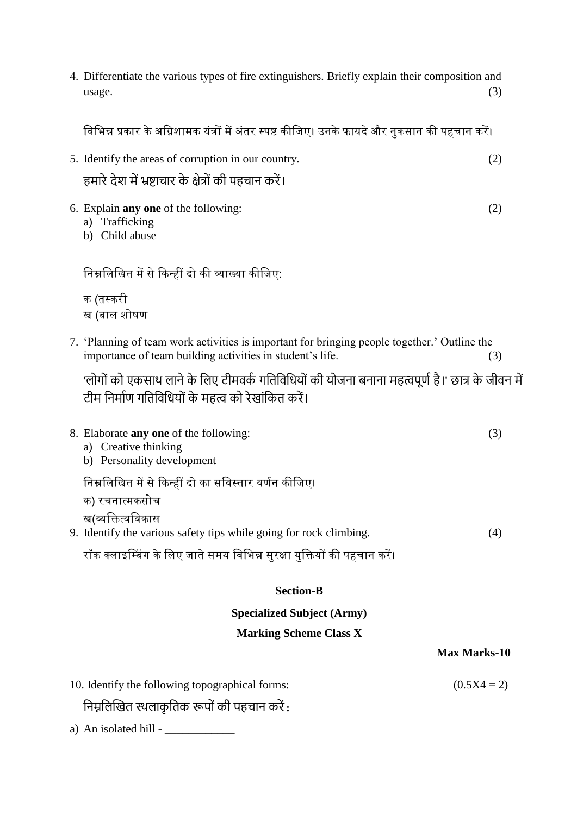4. Differentiate the various types of fire extinguishers. Briefly explain their composition and  $usage.$  (3)

|                                   | विभिन्न प्रकार के अग्निशामक यंत्रों में अंतर स्पष्ट कीजिए। उनके फायदे और नुकसान की पहचान करें।                                                            |               |  |  |
|-----------------------------------|-----------------------------------------------------------------------------------------------------------------------------------------------------------|---------------|--|--|
|                                   | 5. Identify the areas of corruption in our country.                                                                                                       | (2)           |  |  |
|                                   | हमारे देश में भ्रष्टाचार के क्षेत्रों की पहचान करें।                                                                                                      |               |  |  |
|                                   | 6. Explain <b>any one</b> of the following:<br>a) Trafficking<br>b) Child abuse                                                                           | (2)           |  |  |
|                                   | निम्नलिखित में से किन्हीं दो की व्याख्या कीजिए:                                                                                                           |               |  |  |
|                                   | क (तस्करी<br>ख (बाल शोषण                                                                                                                                  |               |  |  |
|                                   | 7. 'Planning of team work activities is important for bringing people together.' Outline the<br>importance of team building activities in student's life. | (3)           |  |  |
|                                   | 'लोगों को एकसाथ लाने के लिए टीमवर्क गतिविधियों की योजना बनाना महत्वपूर्ण है।' छात्र के जीवन में<br>टीम निर्माण गतिविधियों के महत्व को रेखांकित करें।      |               |  |  |
|                                   | 8. Elaborate any one of the following:<br>a) Creative thinking<br>b) Personality development                                                              | (3)           |  |  |
|                                   | निम्नलिखित में से किन्हीं दो का सविस्तार वर्णन कीजिए।<br>क) रचनात्मकसोच                                                                                   |               |  |  |
|                                   | ख(व्यक्तित्वविकास<br>9. Identify the various safety tips while going for rock climbing.                                                                   | (4)           |  |  |
|                                   | रॉक क्लाइम्बिंग के लिए जाते समय विभिन्न सुरक्षा युक्तियों की पहचान करें।                                                                                  |               |  |  |
|                                   | <b>Section-B</b>                                                                                                                                          |               |  |  |
| <b>Specialized Subject (Army)</b> |                                                                                                                                                           |               |  |  |
| <b>Marking Scheme Class X</b>     |                                                                                                                                                           |               |  |  |
| <b>Max Marks-10</b>               |                                                                                                                                                           |               |  |  |
|                                   | 10. Identify the following topographical forms:                                                                                                           | $(0.5X4 = 2)$ |  |  |

निम्नलिखित स्थलाकृतिक रूपों की पहचान करें:

a) An isolated hill - \_\_\_\_\_\_\_\_\_\_\_\_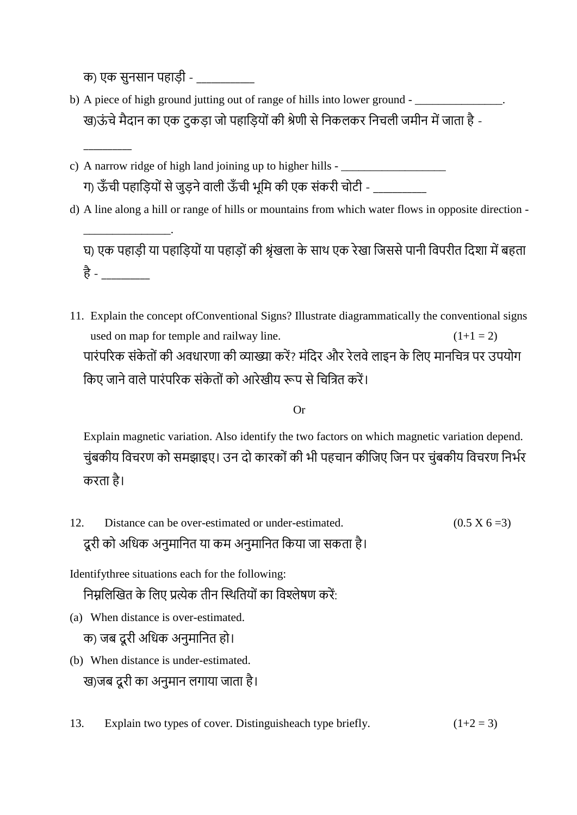क) एक सुनसान पहाडी -

 $\overline{\phantom{a}}$ 

\_\_\_\_\_\_\_\_\_\_\_\_\_\_\_.

- b) A piece of high ground jutting out of range of hills into lower ground -ख)ऊंचे मैदान का एक टुकड़ा जो पहाड़ियों की श्रेणी से निकलकर निचली जमीन में जाता है -
- c) A narrow ridge of high land joining up to higher hills  $-\frac{1}{2}$ ग) ऊँची पहाड़ियों से जुड़ने वाली ऊँची भूमि की एक संकरी चोटी - \_\_\_\_\_\_\_\_\_\_\_\_\_\_\_\_\_\_\_
- d) A line along a hill or range of hills or mountains from which water flows in opposite direction -

घ) एक पहाड़ी या पहाडियों या पहाडों की श्रृंखला के साथ एक रेखा जिससे पानी विपरीत दिशा में बहता है - \_\_\_\_\_\_\_\_\_\_

11. Explain the concept ofConventional Signs? Illustrate diagrammatically the conventional signs used on map for temple and railway line.  $(1+1 = 2)$ पारंपरिक संकेतों की अवधारणा की व्याख्या करें? मंदिर और रेलवे लाइन के लिए मानचित्र पर उपयोग किए जाने वाले पारंपरिक संकेतों को आरेखीय रूप से चित्रित करें।

# Or

Explain magnetic variation. Also identify the two factors on which magnetic variation depend. चुंबकीय विचरण को समझाइए। उन दो कारकों की भी पहचान कीजिए जिन पर चुंबकीय विचरण निर्भर करिा है।

12. Distance can be over-estimated or under-estimated.  $(0.5 \times 6 = 3)$ दूरी को अधिक अनुमानित या कम अनुमानित किया जा सकता है।

Identifythree situations each for the following:

निम्नलिखित के लिए प्रत्येक तीन स्थितियों का विश्लेषण करें:

(a) When distance is over-estimated.

क) जब दूरी अधिक अनुमानित हो।

- (b) When distance is under-estimated. ख)जब दूरी का अनुमान लगाया जाता है।
- 13. Explain two types of cover. Distinguisheach type briefly.  $(1+2=3)$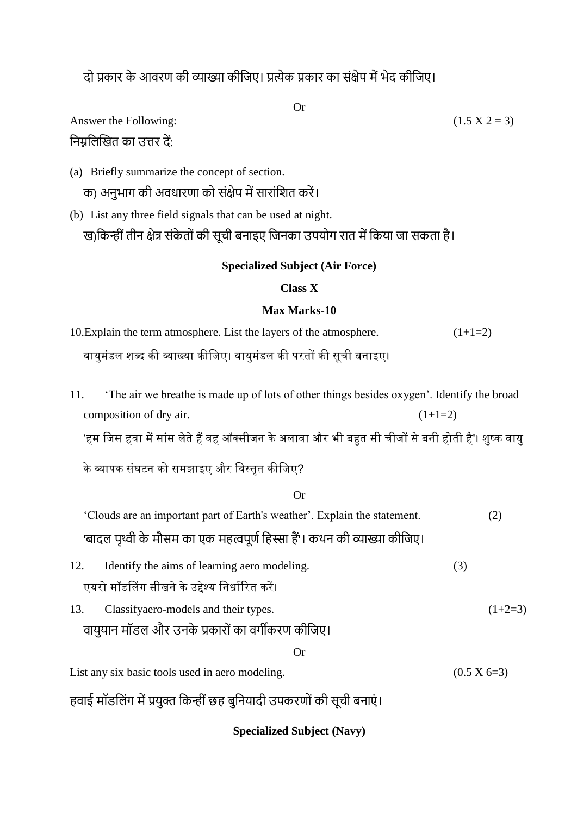दो प्रकार के आवरण की व्याख्या कीजिए। प्रत्येक प्रकार का संक्षेप में भेद कीजिए।

Or

Answer the Following: निम्नलिखित का उत्तर दें:

- (a) Briefly summarize the concept of section. क) अनुभाग की अवधारणा को संक्षेप में सारांशित करें।
- (b) List any three field signals that can be used at night. ख)किन्हीं तीन क्षेत्र संकेतों की सूची बनाइए जिनका उपयोग रात में किया जा सकता है।

## **Specialized Subject (Air Force)**

## **Class X**

## **Max Marks-10**

- 10.Explain the term atmosphere. List the layers of the atmosphere.  $(1+1=2)$ वायुमंडल शब्द की व्याख्या कीजिए। वायुमंडल की परतों की सूची बनाइए।
- 11. 'The air we breathe is made up of lots of other things besides oxygen'. Identify the broad composition of dry air.  $(1+1=2)$

'हम जिस हवा में सांस लेते हैं वह ऑक्सीजन के अलावा और भी बहुत सी चीजों से बनी होती है'। शुष्क वायु

के व्यापक संघटन को समझाइए और विस्तृत कीजिए?

| <b>Or</b>                                                                                             |     |               |  |
|-------------------------------------------------------------------------------------------------------|-----|---------------|--|
| 'Clouds are an important part of Earth's weather'. Explain the statement.                             |     | (2)           |  |
| 'बादल पृथ्वी के मौसम का एक महत्वपूर्ण हिस्सा हैं'। कथन की व्याख्या कीजिए।                             |     |               |  |
| 12.<br>Identify the aims of learning aero modeling.<br>एयरो मॉडलिंग सीखने के उद्देश्य निर्धारित करें। | (3) |               |  |
| 13.<br>Classifyaero-models and their types.<br>वायुयान मॉडल और उनके प्रकारों का वर्गीकरण कीजिए।       |     | $(1+2=3)$     |  |
| Or                                                                                                    |     |               |  |
| List any six basic tools used in aero modeling.                                                       |     | $(0.5 X 6=3)$ |  |

हवाई मॉडलिंग में प्रयुक्त किन्हीं छह बुनियादी उपकरणों की सूची बनाएं।

**Specialized Subject (Navy)**

$$
(1.5\ \mathrm{X}\ 2=3)
$$